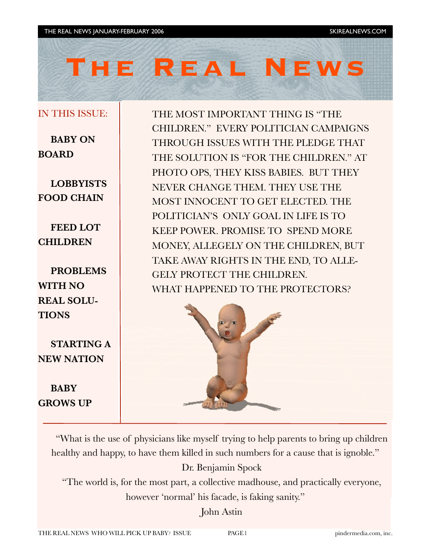# **The Real News**

#### IN THIS ISSUE:

**BABY ON BOARD**

**LOBBYISTS FOOD CHAIN**

**FEED LOT CHILDREN**

**PROBLEMS WITH NO REAL SOLU-TIONS**

**STARTING A NEW NATION**

**BABY GROWS UP** THE MOST IMPORTANT THING IS "THE CHILDREN." EVERY POLITICIAN CAMPAIGNS THROUGH ISSUES WITH THE PLEDGE THAT THE SOLUTION IS "FOR THE CHILDREN." AT PHOTO OPS, THEY KISS BABIES. BUT THEY NEVER CHANGE THEM. THEY USE THE MOST INNOCENT TO GET ELECTED. THE POLITICIAN'S ONLY GOAL IN LIFE IS TO KEEP POWER. PROMISE TO SPEND MORE MONEY, ALLEGELY ON THE CHILDREN, BUT TAKE AWAY RIGHTS IN THE END, TO ALLE-GELY PROTECT THE CHILDREN. WHAT HAPPENED TO THE PROTECTORS?



"What is the use of physicians like myself trying to help parents to bring up children healthy and happy, to have them killed in such numbers for a cause that is ignoble."

Dr. Benjamin Spock

"The world is, for the most part, a collective madhouse, and practically everyone, however 'normal' his facade, is faking sanity."

John Astin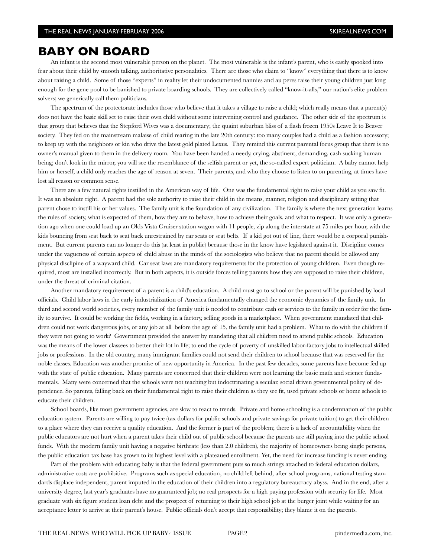#### **BABY ON BOARD**

An infant is the second most vulnerable person on the planet. The most vulnerable is the infant's parent, who is easily spooked into fear about their child by smooth talking, authoritative personalities. There are those who claim to "know" everything that there is to know about raising a child. Some of those "experts" in reality let their undocumented nannies and au peres raise their young children just long enough for the gene pool to be banished to private boarding schools. They are collectively called "know-it-alls," our nation's elite problem solvers; we generically call them politicians.

The spectrum of the protectorate includes those who believe that it takes a village to raise a child; which really means that a parent(s) does not have the basic skill set to raise their own child without some intervening control and guidance. The other side of the spectrum is that group that believes that the Stepford Wives was a documentary; the quaint suburban bliss of a flash frozen 1950s Leave It to Beaver society. They fed on the mainstream malaise of child rearing in the late 20th century: too many couples had a child as a fashion accessory; to keep up with the neighbors or kin who drive the latest gold plated Lexus. They remind this current parental focus group that there is no owner's manual given to them in the delivery room. You have been handed a needy, crying, abstinent, demanding, cash sucking human being; don't look in the mirror, you will see the resemblance of the selfish parent or yet, the so-called expert politician. A baby cannot help him or herself; a child only reaches the age of reason at seven. Their parents, and who they choose to listen to on parenting, at times have lost all reason or common sense.

There are a few natural rights instilled in the American way of life. One was the fundamental right to raise your child as you saw fit. It was an absolute right. A parent had the sole authority to raise their child in the means, manner, religion and disciplinary setting that parent chose to instill his or her values. The family unit is the foundation of any civilization. The family is where the next generation learns the rules of society, what is expected of them, how they are to behave, how to achieve their goals, and what to respect. It was only a generation ago when one could load up an Olds Vista Cruiser station wagon with 11 people, zip along the interstate at 75 miles per hour, with the kids bouncing from seat back to seat back unrestrained by car seats or seat belts. If a kid got out of line, there would be a corporal punishment. But current parents can no longer do this (at least in public) because those in the know have legislated against it. Discipline comes under the vagueness of certain aspects of child abuse in the minds of the sociologists who believe that no parent should be allowed any physical disclipine of a wayward child. Car seat laws are mandatory requirements for the protection of young children. Even though required, most are installed incorrectly. But in both aspects, it is outside forces telling parents how they are supposed to raise their children, under the threat of criminal citation.

Another mandatory requirement of a parent is a child's education. A child must go to school or the parent will be punished by local officials. Child labor laws in the early industrialization of America fundamentally changed the economic dynamics of the family unit. In third and second world societies, every member of the family unit is needed to contribute cash or services to the family in order for the family to survive. It could be working the fields, working in a factory, selling goods in a marketplace. When government mandated that children could not work dangerous jobs, or any job at all before the age of 15, the family unit had a problem. What to do with the children if they were not going to work? Government provided the answer by mandating that all children need to attend public schools. Education was the means of the lower classees to better their lot in life; to end the cycle of poverty of unskilled labor-factory jobs to intellectual skilled jobs or professions. In the old country, many immigrant families could not send their children to school because that was reserved for the noble classes. Education was another promise of new opportunity in America. In the past few decades, some parents have become fed up with the state of public education. Many parents are concerned that their children were not learning the basic math and science fundamentals. Many were concerned that the schools were not teaching but indoctrinating a secular, social driven governmental policy of dependence. So parents, falling back on their fundamental right to raise their children as they see fit, used private schools or home schools to educate their children.

School boards, like most government agencies, are slow to react to trends. Private and home schooling is a condemnation of the public education system. Parents are willing to pay twice (tax dollars for public schools and private savings for private tuition) to get their children to a place where they can receive a quality education. And the former is part of the problem; there is a lack of accountability when the public educators are not hurt when a parent takes their child out of public school because the parents are still paying into the public school funds. With the modern family unit having a negative birthrate (less than 2.0 children), the majority of homeowners being single persons, the public education tax base has grown to its highest level with a plateaued enrollment. Yet, the need for increase funding is never ending.

Part of the problem with educating baby is that the federal government puts so much strings attached to federal education dollars, administrative costs are prohibitive. Programs such as special education, no child left behind, after school programs, national testing standards displace independent, parent imputed in the education of their children into a regulatory bureaucracy abyss. And in the end, after a university degree, last year's graduates have no guaranteed job; no real prospects for a high paying profession with security for life. Most graduate with six figure student loan debt and the prospect of returning to their high school job at the burger joint while waiting for an acceptance letter to arrive at their parent's house. Public officials don't accept that responsibility; they blame it on the parents.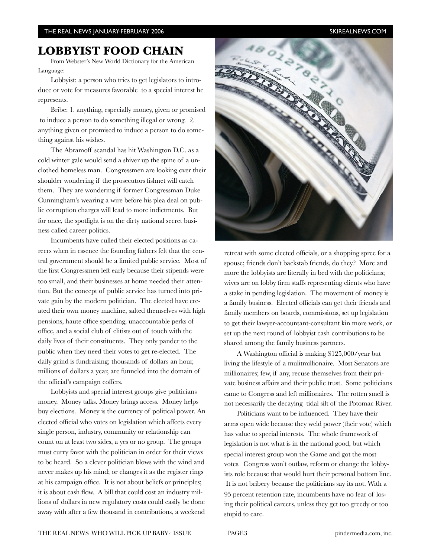### **LOBBYIST FOOD CHAIN**

From Webster's New World Dictionary for the American Language:

Lobbyist: a person who tries to get legislators to introduce or vote for measures favorable to a special interest he represents.

Bribe: 1. anything, especially money, given or promised to induce a person to do something illegal or wrong. 2. anything given or promised to induce a person to do something against his wishes.

The Abramoff scandal has hit Washington D.C. as a cold winter gale would send a shiver up the spine of a unclothed homeless man. Congressmen are looking over their shoulder wondering if the prosecutors fishnet will catch them. They are wondering if former Congressman Duke Cunningham's wearing a wire before his plea deal on public corruption charges will lead to more indictments. But for once, the spotlight is on the dirty national secret business called career politics.

Incumbents have culled their elected positions as careers when in essence the founding fathers felt that the central government should be a limited public service. Most of the first Congressmen left early because their stipends were too small, and their businesses at home needed their attention. But the concept of public service has turned into private gain by the modern politician. The elected have created their own money machine, salted themselves with high pensions, haute office spending, unaccountable perks of office, and a social club of elitists out of touch with the daily lives of their constituents. They only pander to the public when they need their votes to get re-elected. The daily grind is fundraising; thousands of dollars an hour, millions of dollars a year, are funneled into the domain of the official's campaign coffers.

Lobbyists and special interest groups give politicians money. Money talks. Money brings access. Money helps buy elections. Money is the currency of political power. An elected official who votes on legislation which affects every single person, industry, community or relationship can count on at least two sides, a yes or no group. The groups must curry favor with the politician in order for their views to be heard. So a clever politician blows with the wind and never makes up his mind; or changes it as the register rings at his campaign office. It is not about beliefs or principles; it is about cash flow. A bill that could cost an industry millions of dollars in new regulatory costs could easily be done away with after a few thousand in contributions, a weekend



retreat with some elected officials, or a shopping spree for a spouse; friends don't backstab friends, do they? More and more the lobbyists are literally in bed with the politicians; wives are on lobby firm staffs representing clients who have a stake in pending legislation. The movement of money is a family business. Elected officials can get their friends and family members on boards, commissions, set up legislation to get their lawyer-accountant-consultant kin more work, or set up the next round of lobbyist cash contributions to be shared among the family business partners.

A Washington official is making \$125,000/year but living the lifestyle of a mulitmillionaire. Most Senators are millionaires; few, if any, recuse themselves from their private business affairs and their public trust. Some politicians came to Congress and left millionaires. The rotten smell is not necessarily the decaying tidal silt of the Potomac River.

Politicians want to be influenced. They have their arms open wide because they weld power (their vote) which has value to special interests. The whole framework of legislation is not what is in the national good, but which special interest group won the Game and got the most votes. Congress won't outlaw, reform or change the lobbyists role because that would hurt their personal bottom line. It is not bribery because the politicians say its not. With a 95 percent retention rate, incumbents have no fear of losing their political careers, unless they get too greedy or too stupid to care.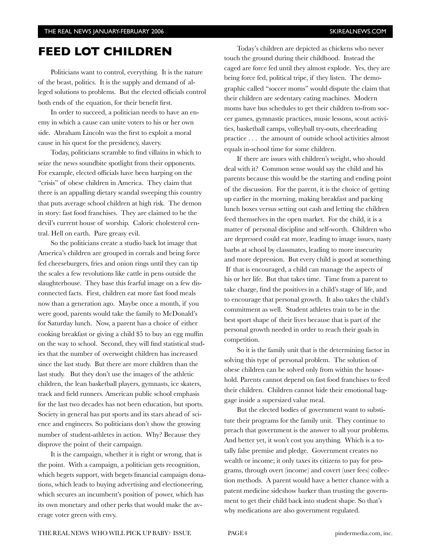## **FEED LOT CHILDREN**

Politicians want to control, everything. It is the nature of the beast, politics. It is the supply and demand of alleged solutions to problems. But the elected officials control both ends of the equation, for their benefit first.

In order to succeed, a politician needs to have an enemy in which a cause can unite voters to his or her own side. Abraham Lincoln was the first to exploit a moral cause in his quest for the presidency, slavery.

Today, politicians scramble to find villains in which to seize the news soundbite spotlight from their opponents. For example, elected officials have been harping on the "crisis" of obese children in America. They claim that there is an appalling dietary scandal sweeping this country that puts average school children at high risk. The demon in story: fast food franchises. They are claimed to be the devil's current house of worship. Caloric cholesterol central. Hell on earth. Pure greasy evil.

So the politicians create a studio back lot image that America's children are grouped in corrals and being force fed cheeseburgers, fries and onion rings until they can tip the scales a few revolutions like cattle in pens outside the slaughterhouse. They base this fearful image on a few disconnected facts. First, children eat more fast food meals now than a generation ago. Maybe once a month, if you were good, parents would take the family to McDonald's for Saturday lunch. Now, a parent has a choice of either cooking breakfast or giving a child \$5 to buy an egg muffin on the way to school. Second, they will find statistical studies that the number of overweight children has increased since the last study. But there are more children than the last study. But they don't use the images of the athletic children, the lean basketball players, gymnasts, ice skaters, track and field runners. American public school emphasis for the last two decades has not been education, but sports. Society in general has put sports and its stars ahead of science and engineers. So politicians don't show the growing number of student-athletes in action. Why? Because they disprove the point of their campaign.

It is the campaign, whether it is right or wrong, that is the point. With a campaign, a politician gets recognition, which begets support, with begets financial campaign donations, which leads to buying advertising and electioneering, which secures an incumbent's position of power, which has its own monetary and other perks that would make the average voter green with envy.

Today's children are depicted as chickens who never touch the ground during their childhood. Instead the caged are force fed until they almost explode. Yes, they are being force fed, political tripe, if they listen. The demographic called "soccer moms" would dispute the claim that their children are sedentary eating machines. Modern moms have bus schedules to get their children to-from soccer games, gymnastic practices, music lessons, scout activities, basketball camps, volleyball try-outs, cheerleading practice . . . the amount of outside school activities almost equals in-school time for some children.

If there are issues with children's weight, who should deal with it? Common sense would say the child and his parents because this would be the starting and ending point of the discussion. For the parent, it is the choice of getting up earlier in the morning, making breakfast and packing lunch boxes versus setting out cash and letting the children feed themselves in the open market. For the child, it is a matter of personal discipline and self-worth. Children who are depressed could eat more, leading to image issues, nasty barbs at school by classmates, leading to more insecurity and more depression. But every child is good at something. If that is encouraged, a child can manage the aspects of his or her life. But that takes time. Time from a parent to take charge, find the positives in a child's stage of life, and to encourage that personal growth. It also takes the child's commitment as well. Student athletes train to be in the best sport shape of their lives because that is part of the personal growth needed in order to reach their goals in competition.

So it is the family unit that is the determining factor in solving this type of personal problem. The solution of obese children can be solved only from within the household. Parents cannot depend on fast food franchises to feed their children. Children cannot hide their emotional baggage inside a supersized value meal.

But the elected bodies of government want to substitute their programs for the family unit. They continue to preach that government is the answer to all your problems. And better yet, it won't cost you anything. Which is a totally false premise and pledge. Government creates no wealth or income; it only taxes its citizens to pay for programs, through overt (income) and covert (user fees) collection methods. A parent would have a better chance with a patent medicine sideshow barker than trusting the government to get their child back into student shape. So that's why medications are also government regulated.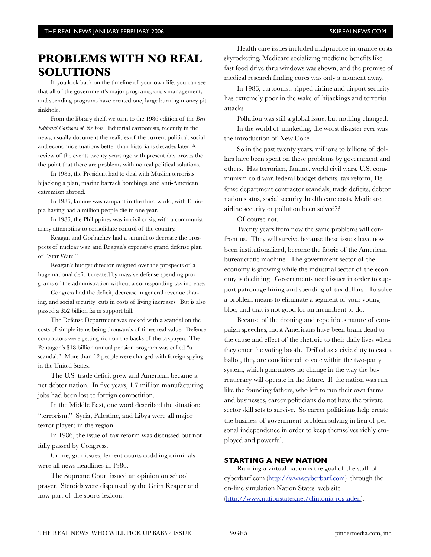# **PROBLEMS WITH NO REAL SOLUTIONS**

If you look back on the timeline of your own life, you can see that all of the government's major programs, crisis management, and spending programs have created one, large burning money pit sinkhole.

From the library shelf, we turn to the 1986 edition of the *Best Editorial Cartoons of the Year*. Editorial cartoonists, recently in the news, usually document the realities of the current political, social and economic situations better than historians decades later. A review of the events twenty years ago with present day proves the the point that there are problems with no real political solutions.

In 1986, the President had to deal with Muslim terrorists hijacking a plan, marine barrack bombings, and anti-American extremism abroad.

In 1986, famine was rampant in the third world, with Ethiopia having had a million people die in one year.

In 1986, the Philippines was in civil crisis, with a communist army attempting to consolidate control of the country.

Reagan and Gorbachev had a summit to decrease the prospects of nuclear war, and Reagan's expensive grand defense plan of "Star Wars."

Reagan's budget director resigned over the prospects of a huge national deficit created by massive defense spending programs of the administration without a corresponding tax increase.

Congress had the deficit, decrease in general revenue sharing, and social security cuts in costs of living increases. But is also passed a \$52 billion farm support bill.

The Defense Department was rocked with a scandal on the costs of simple items being thousands of times real value. Defense contractors were getting rich on the backs of the taxpayers. The Pentagon's \$18 billion annual pension program was called "a scandal." More than 12 people were charged with foreign spying in the United States.

The U.S. trade deficit grew and American became a net debtor nation. In five years, 1.7 million manufacturing jobs had been lost to foreign competition.

In the Middle East, one word described the situation: "terrorism." Syria, Palestine, and Libya were all major terror players in the region.

In 1986, the issue of tax reform was discussed but not fully passed by Congress.

Crime, gun issues, lenient courts coddling criminals were all news headlines in 1986.

The Supreme Court issued an opinion on school prayer. Steroids were dispensed by the Grim Reaper and now part of the sports lexicon.

Health care issues included malpractice insurance costs skyrocketing, Medicare socializing medicine benefits like fast food drive thru windows was shown, and the promise of medical research finding cures was only a moment away.

In 1986, cartoonists ripped airline and airport security has extremely poor in the wake of hijackings and terrorist attacks.

Pollution was still a global issue, but nothing changed.

In the world of marketing, the worst disaster ever was the introduction of New Coke.

So in the past twenty years, millions to billions of dollars have been spent on these problems by government and others. Has terrorism, famine, world civil wars, U.S. communism cold war, federal budget deficits, tax reform, Defense department contractor scandals, trade deficits, debtor nation status, social security, health care costs, Medicare, airline security or pollution been solved??

Of course not.

Twenty years from now the same problems will confront us. They will survive because these issues have now been institutionalized, become the fabric of the American bureaucratic machine. The government sector of the economy is growing while the industrial sector of the economy is declining. Governments need issues in order to support patronage hiring and spending of tax dollars. To solve a problem means to eliminate a segment of your voting bloc, and that is not good for an incumbent to do.

Because of the droning and repetitious nature of campaign speeches, most Americans have been brain dead to the cause and effect of the rhetoric to their daily lives when they enter the voting booth. Drilled as a civic duty to cast a ballot, they are conditioned to vote within the two-party system, which guarantees no change in the way the bureaucracy will operate in the future. If the nation was run like the founding fathers, who left to run their own farms and businesses, career politicians do not have the private sector skill sets to survive. So career politicians help create the business of government problem solving in lieu of personal independence in order to keep themselves richly employed and powerful.

#### **STARTING A NEW NATION**

Running a virtual nation is the goal of the staff of cyberbarf.com (http://www.cyberbarf.com) through the on-line simulation Nation States web site (http://www.nationstates.net/clintonia-rogtaden).